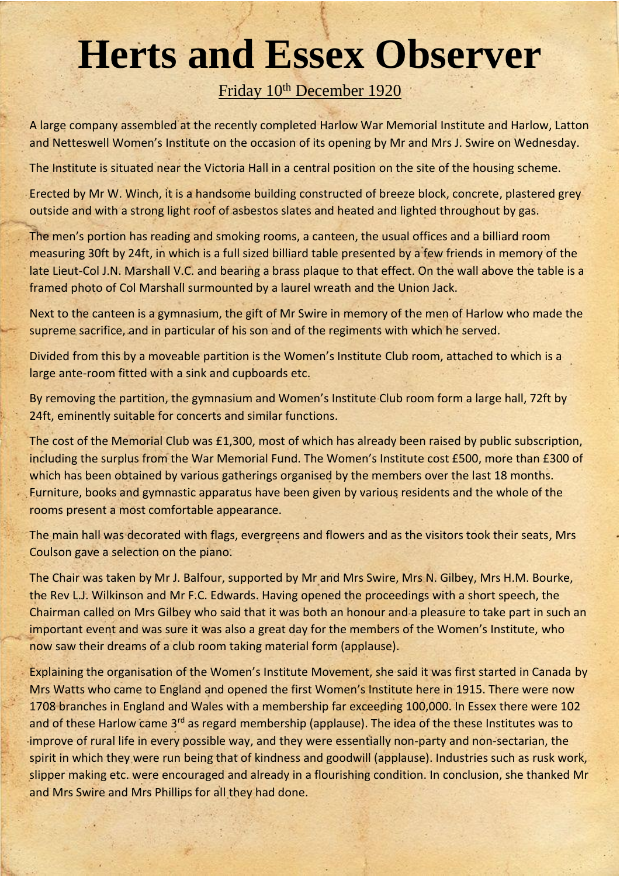## **Herts and Essex Observer**

## Friday 10<sup>th</sup> December 1920

A large company assembled at the recently completed Harlow War Memorial Institute and Harlow, Latton and Netteswell Women's Institute on the occasion of its opening by Mr and Mrs J. Swire on Wednesday.

The Institute is situated near the Victoria Hall in a central position on the site of the housing scheme.

Erected by Mr W. Winch, it is a handsome building constructed of breeze block, concrete, plastered grey outside and with a strong light roof of asbestos slates and heated and lighted throughout by gas.

The men's portion has reading and smoking rooms, a canteen, the usual offices and a billiard room measuring 30ft by 24ft, in which is a full sized billiard table presented by a few friends in memory of the late Lieut-Col J.N. Marshall V.C. and bearing a brass plaque to that effect. On the wall above the table is a framed photo of Col Marshall surmounted by a laurel wreath and the Union Jack.

Next to the canteen is a gymnasium, the gift of Mr Swire in memory of the men of Harlow who made the supreme sacrifice, and in particular of his son and of the regiments with which he served.

Divided from this by a moveable partition is the Women's Institute Club room, attached to which is a large ante-room fitted with a sink and cupboards etc.

By removing the partition, the gymnasium and Women's Institute Club room form a large hall, 72ft by 24ft, eminently suitable for concerts and similar functions.

The cost of the Memorial Club was £1,300, most of which has already been raised by public subscription, including the surplus from the War Memorial Fund. The Women's Institute cost £500, more than £300 of which has been obtained by various gatherings organised by the members over the last 18 months. Furniture, books and gymnastic apparatus have been given by various residents and the whole of the rooms present a most comfortable appearance.

The main hall was decorated with flags, evergreens and flowers and as the visitors took their seats, Mrs Coulson gave a selection on the piano.

The Chair was taken by Mr J. Balfour, supported by Mr and Mrs Swire, Mrs N. Gilbey, Mrs H.M. Bourke, the Rev L.J. Wilkinson and Mr F.C. Edwards. Having opened the proceedings with a short speech, the Chairman called on Mrs Gilbey who said that it was both an honour and a pleasure to take part in such an important event and was sure it was also a great day for the members of the Women's Institute, who now saw their dreams of a club room taking material form (applause).

Explaining the organisation of the Women's Institute Movement, she said it was first started in Canada by Mrs Watts who came to England and opened the first Women's Institute here in 1915. There were now 1708 branches in England and Wales with a membership far exceeding 100,000. In Essex there were 102 and of these Harlow came 3<sup>rd</sup> as regard membership (applause). The idea of the these Institutes was to improve of rural life in every possible way, and they were essentially non-party and non-sectarian, the spirit in which they were run being that of kindness and goodwill (applause). Industries such as rusk work, slipper making etc. were encouraged and already in a flourishing condition. In conclusion, she thanked Mr and Mrs Swire and Mrs Phillips for all they had done.